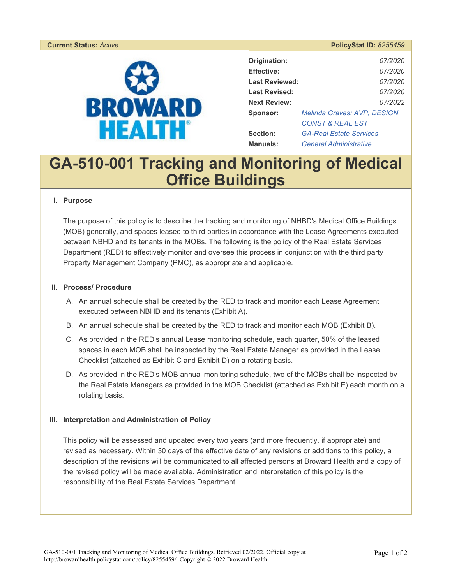# **BROWARD HEALTH®**

| <b>PolicyStat ID: 8255459</b> |  |  |
|-------------------------------|--|--|

| Origination:          | 07/2020                        |  |
|-----------------------|--------------------------------|--|
| <b>Effective:</b>     | 07/2020                        |  |
| <b>Last Reviewed:</b> | 07/2020                        |  |
| Last Revised:         | 07/2020                        |  |
| <b>Next Review:</b>   | 07/2022                        |  |
| Sponsor:              | Melinda Graves: AVP, DESIGN,   |  |
|                       | CONST & REAL EST               |  |
| Section:              | <b>GA-Real Estate Services</b> |  |
| <b>Manuals:</b>       | <b>General Administrative</b>  |  |

# **GA-510-001 Tracking and Monitoring of Medical Office Buildings**

#### I. **Purpose**

The purpose of this policy is to describe the tracking and monitoring of NHBD's Medical Office Buildings (MOB) generally, and spaces leased to third parties in accordance with the Lease Agreements executed between NBHD and its tenants in the MOBs. The following is the policy of the Real Estate Services Department (RED) to effectively monitor and oversee this process in conjunction with the third party Property Management Company (PMC), as appropriate and applicable.

#### II. **Process/ Procedure**

- A. An annual schedule shall be created by the RED to track and monitor each Lease Agreement executed between NBHD and its tenants (Exhibit A).
- B. An annual schedule shall be created by the RED to track and monitor each MOB (Exhibit B).
- C. As provided in the RED's annual Lease monitoring schedule, each quarter, 50% of the leased spaces in each MOB shall be inspected by the Real Estate Manager as provided in the Lease Checklist (attached as Exhibit C and Exhibit D) on a rotating basis.
- D. As provided in the RED's MOB annual monitoring schedule, two of the MOBs shall be inspected by the Real Estate Managers as provided in the MOB Checklist (attached as Exhibit E) each month on a rotating basis.

#### III. **Interpretation and Administration of Policy**

This policy will be assessed and updated every two years (and more frequently, if appropriate) and revised as necessary. Within 30 days of the effective date of any revisions or additions to this policy, a description of the revisions will be communicated to all affected persons at Broward Health and a copy of the revised policy will be made available. Administration and interpretation of this policy is the responsibility of the Real Estate Services Department.